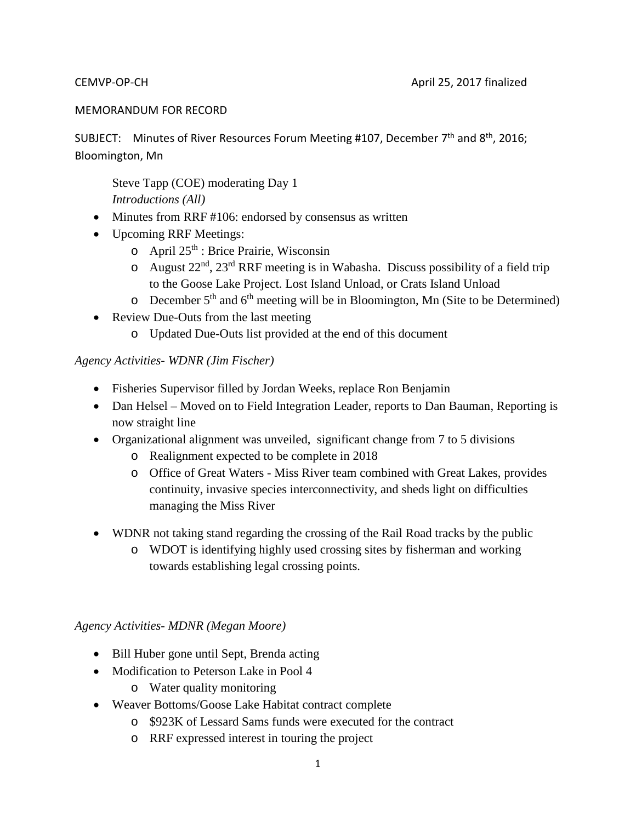#### MEMORANDUM FOR RECORD

SUBJECT: Minutes of River Resources Forum Meeting #107, December 7<sup>th</sup> and 8<sup>th</sup>, 2016; Bloomington, Mn

Steve Tapp (COE) moderating Day 1 *Introductions (All)*

- Minutes from RRF #106: endorsed by consensus as written
- Upcoming RRF Meetings:
	- $\circ$  April 25<sup>th</sup> : Brice Prairie, Wisconsin
	- o August  $22<sup>nd</sup>$ ,  $23<sup>rd</sup> RRF$  meeting is in Wabasha. Discuss possibility of a field trip to the Goose Lake Project. Lost Island Unload, or Crats Island Unload
	- $\circ$  December 5<sup>th</sup> and 6<sup>th</sup> meeting will be in Bloomington, Mn (Site to be Determined)
- Review Due-Outs from the last meeting
	- o Updated Due-Outs list provided at the end of this document

#### *Agency Activities- WDNR (Jim Fischer)*

- Fisheries Supervisor filled by Jordan Weeks, replace Ron Benjamin
- Dan Helsel Moved on to Field Integration Leader, reports to Dan Bauman, Reporting is now straight line
- Organizational alignment was unveiled, significant change from 7 to 5 divisions
	- o Realignment expected to be complete in 2018
	- o Office of Great Waters Miss River team combined with Great Lakes, provides continuity, invasive species interconnectivity, and sheds light on difficulties managing the Miss River
- WDNR not taking stand regarding the crossing of the Rail Road tracks by the public
	- o WDOT is identifying highly used crossing sites by fisherman and working towards establishing legal crossing points.

#### *Agency Activities- MDNR (Megan Moore)*

- Bill Huber gone until Sept, Brenda acting
- Modification to Peterson Lake in Pool 4
	- o Water quality monitoring
- Weaver Bottoms/Goose Lake Habitat contract complete
	- o \$923K of Lessard Sams funds were executed for the contract
	- o RRF expressed interest in touring the project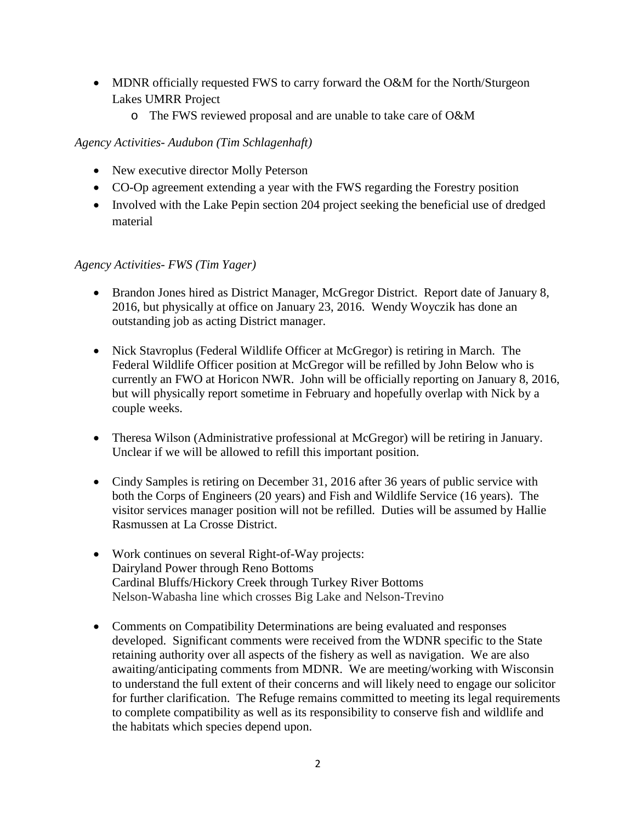- MDNR officially requested FWS to carry forward the O&M for the North/Sturgeon Lakes UMRR Project
	- o The FWS reviewed proposal and are unable to take care of O&M

*Agency Activities- Audubon (Tim Schlagenhaft)*

- New executive director Molly Peterson
- CO-Op agreement extending a year with the FWS regarding the Forestry position
- Involved with the Lake Pepin section 204 project seeking the beneficial use of dredged material

#### *Agency Activities- FWS (Tim Yager)*

- Brandon Jones hired as District Manager, McGregor District. Report date of January 8, 2016, but physically at office on January 23, 2016. Wendy Woyczik has done an outstanding job as acting District manager.
- Nick Stavroplus (Federal Wildlife Officer at McGregor) is retiring in March. The Federal Wildlife Officer position at McGregor will be refilled by John Below who is currently an FWO at Horicon NWR. John will be officially reporting on January 8, 2016, but will physically report sometime in February and hopefully overlap with Nick by a couple weeks.
- Theresa Wilson (Administrative professional at McGregor) will be retiring in January. Unclear if we will be allowed to refill this important position.
- Cindy Samples is retiring on December 31, 2016 after 36 years of public service with both the Corps of Engineers (20 years) and Fish and Wildlife Service (16 years). The visitor services manager position will not be refilled. Duties will be assumed by Hallie Rasmussen at La Crosse District.
- Work continues on several Right-of-Way projects: Dairyland Power through Reno Bottoms Cardinal Bluffs/Hickory Creek through Turkey River Bottoms Nelson-Wabasha line which crosses Big Lake and Nelson-Trevino
- Comments on Compatibility Determinations are being evaluated and responses developed. Significant comments were received from the WDNR specific to the State retaining authority over all aspects of the fishery as well as navigation. We are also awaiting/anticipating comments from MDNR. We are meeting/working with Wisconsin to understand the full extent of their concerns and will likely need to engage our solicitor for further clarification. The Refuge remains committed to meeting its legal requirements to complete compatibility as well as its responsibility to conserve fish and wildlife and the habitats which species depend upon.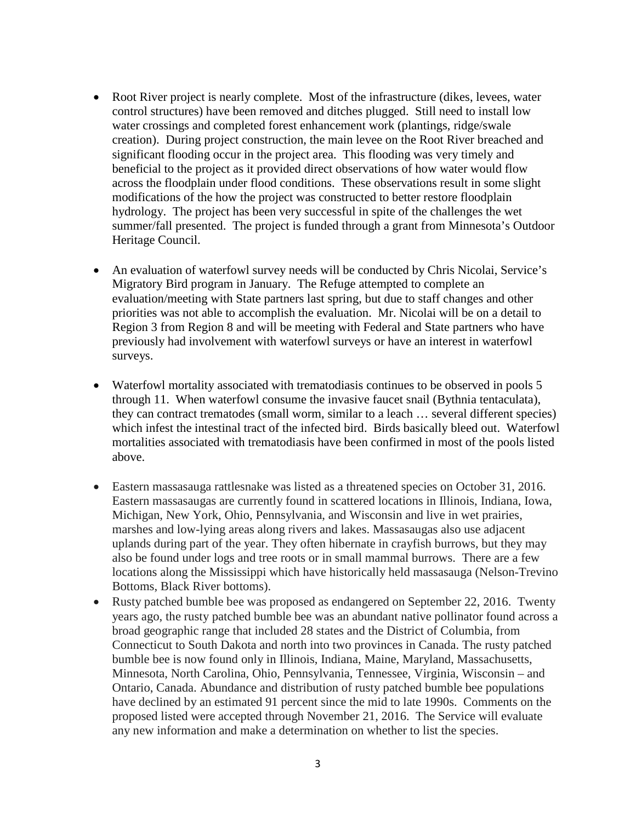- Root River project is nearly complete. Most of the infrastructure (dikes, levees, water control structures) have been removed and ditches plugged. Still need to install low water crossings and completed forest enhancement work (plantings, ridge/swale creation). During project construction, the main levee on the Root River breached and significant flooding occur in the project area. This flooding was very timely and beneficial to the project as it provided direct observations of how water would flow across the floodplain under flood conditions. These observations result in some slight modifications of the how the project was constructed to better restore floodplain hydrology. The project has been very successful in spite of the challenges the wet summer/fall presented. The project is funded through a grant from Minnesota's Outdoor Heritage Council.
- An evaluation of waterfowl survey needs will be conducted by Chris Nicolai, Service's Migratory Bird program in January. The Refuge attempted to complete an evaluation/meeting with State partners last spring, but due to staff changes and other priorities was not able to accomplish the evaluation. Mr. Nicolai will be on a detail to Region 3 from Region 8 and will be meeting with Federal and State partners who have previously had involvement with waterfowl surveys or have an interest in waterfowl surveys.
- Waterfowl mortality associated with trematodiasis continues to be observed in pools 5 through 11. When waterfowl consume the invasive faucet snail (Bythnia tentaculata), they can contract trematodes (small worm, similar to a leach … several different species) which infest the intestinal tract of the infected bird. Birds basically bleed out. Waterfowl mortalities associated with trematodiasis have been confirmed in most of the pools listed above.
- Eastern massasauga rattlesnake was listed as a threatened species on October 31, 2016. Eastern massasaugas are currently found in scattered locations in Illinois, Indiana, Iowa, Michigan, New York, Ohio, Pennsylvania, and Wisconsin and live in wet prairies, marshes and low-lying areas along rivers and lakes. Massasaugas also use adjacent uplands during part of the year. They often hibernate in crayfish burrows, but they may also be found under logs and tree roots or in small mammal burrows. There are a few locations along the Mississippi which have historically held massasauga (Nelson-Trevino Bottoms, Black River bottoms).
- Rusty patched bumble bee was proposed as endangered on September 22, 2016. Twenty years ago, the rusty patched bumble bee was an abundant native pollinator found across a broad geographic range that included 28 states and the District of Columbia, from Connecticut to South Dakota and north into two provinces in Canada. The rusty patched bumble bee is now found only in Illinois, Indiana, Maine, Maryland, Massachusetts, Minnesota, North Carolina, Ohio, Pennsylvania, Tennessee, Virginia, Wisconsin – and Ontario, Canada. Abundance and distribution of rusty patched bumble bee populations have declined by an estimated 91 percent since the mid to late 1990s. Comments on the proposed listed were accepted through November 21, 2016. The Service will evaluate any new information and make a determination on whether to list the species.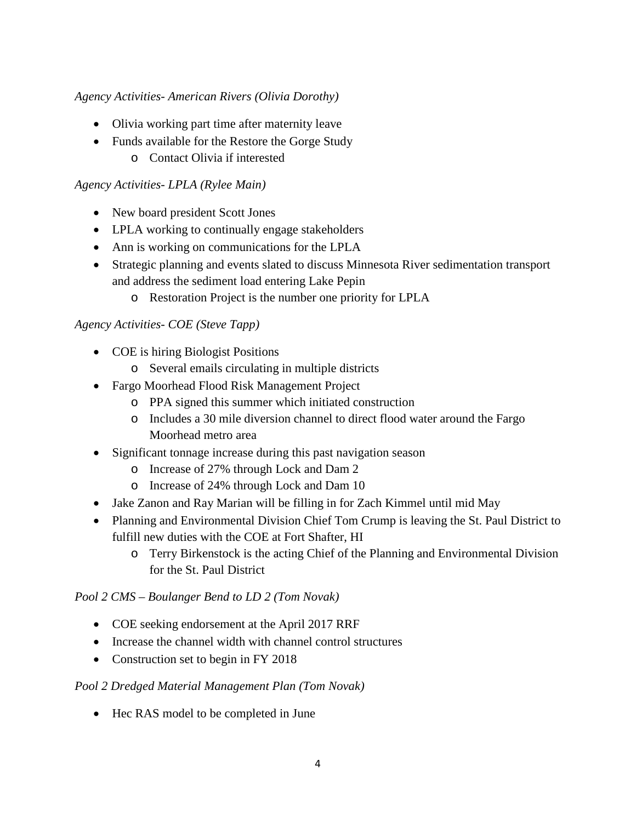## *Agency Activities- American Rivers (Olivia Dorothy)*

- Olivia working part time after maternity leave
- Funds available for the Restore the Gorge Study o Contact Olivia if interested

## *Agency Activities- LPLA (Rylee Main)*

- New board president Scott Jones
- LPLA working to continually engage stakeholders
- Ann is working on communications for the LPLA
- Strategic planning and events slated to discuss Minnesota River sedimentation transport and address the sediment load entering Lake Pepin
	- o Restoration Project is the number one priority for LPLA

## *Agency Activities- COE (Steve Tapp)*

- COE is hiring Biologist Positions
	- o Several emails circulating in multiple districts
- Fargo Moorhead Flood Risk Management Project
	- o PPA signed this summer which initiated construction
	- o Includes a 30 mile diversion channel to direct flood water around the Fargo Moorhead metro area
- Significant tonnage increase during this past navigation season
	- o Increase of 27% through Lock and Dam 2
	- o Increase of 24% through Lock and Dam 10
- Jake Zanon and Ray Marian will be filling in for Zach Kimmel until mid May
- Planning and Environmental Division Chief Tom Crump is leaving the St. Paul District to fulfill new duties with the COE at Fort Shafter, HI
	- o Terry Birkenstock is the acting Chief of the Planning and Environmental Division for the St. Paul District

## *Pool 2 CMS – Boulanger Bend to LD 2 (Tom Novak)*

- COE seeking endorsement at the April 2017 RRF
- Increase the channel width with channel control structures
- Construction set to begin in FY 2018

## *Pool 2 Dredged Material Management Plan (Tom Novak)*

• Hec RAS model to be completed in June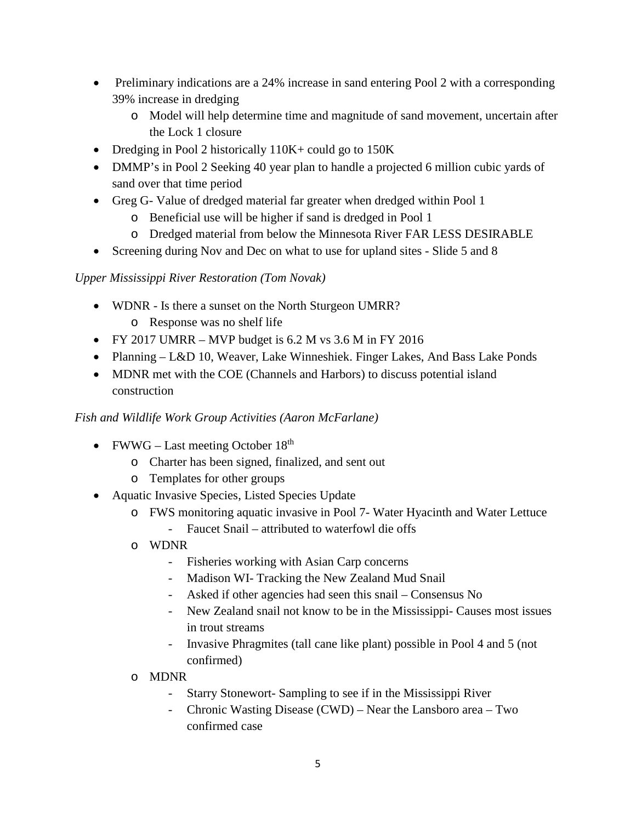- Preliminary indications are a 24% increase in sand entering Pool 2 with a corresponding 39% increase in dredging
	- o Model will help determine time and magnitude of sand movement, uncertain after the Lock 1 closure
- Dredging in Pool 2 historically 110K + could go to 150K
- DMMP's in Pool 2 Seeking 40 year plan to handle a projected 6 million cubic yards of sand over that time period
- Greg G- Value of dredged material far greater when dredged within Pool 1
	- o Beneficial use will be higher if sand is dredged in Pool 1
	- o Dredged material from below the Minnesota River FAR LESS DESIRABLE
- Screening during Nov and Dec on what to use for upland sites Slide 5 and 8

# *Upper Mississippi River Restoration (Tom Novak)*

- WDNR Is there a sunset on the North Sturgeon UMRR? o Response was no shelf life
- FY 2017 UMRR MVP budget is  $6.2$  M vs  $3.6$  M in FY 2016
- Planning L&D 10, Weaver, Lake Winneshiek. Finger Lakes, And Bass Lake Ponds
- MDNR met with the COE (Channels and Harbors) to discuss potential island construction

# *Fish and Wildlife Work Group Activities (Aaron McFarlane)*

- FWWG Last meeting October  $18<sup>th</sup>$ 
	- o Charter has been signed, finalized, and sent out
	- o Templates for other groups
- Aquatic Invasive Species, Listed Species Update
	- o FWS monitoring aquatic invasive in Pool 7- Water Hyacinth and Water Lettuce - Faucet Snail – attributed to waterfowl die offs
	- o WDNR
		- Fisheries working with Asian Carp concerns
		- Madison WI- Tracking the New Zealand Mud Snail
		- Asked if other agencies had seen this snail Consensus No
		- New Zealand snail not know to be in the Mississippi- Causes most issues in trout streams
		- Invasive Phragmites (tall cane like plant) possible in Pool 4 and 5 (not confirmed)
	- o MDNR
		- Starry Stonewort- Sampling to see if in the Mississippi River
		- Chronic Wasting Disease (CWD) Near the Lansboro area Two confirmed case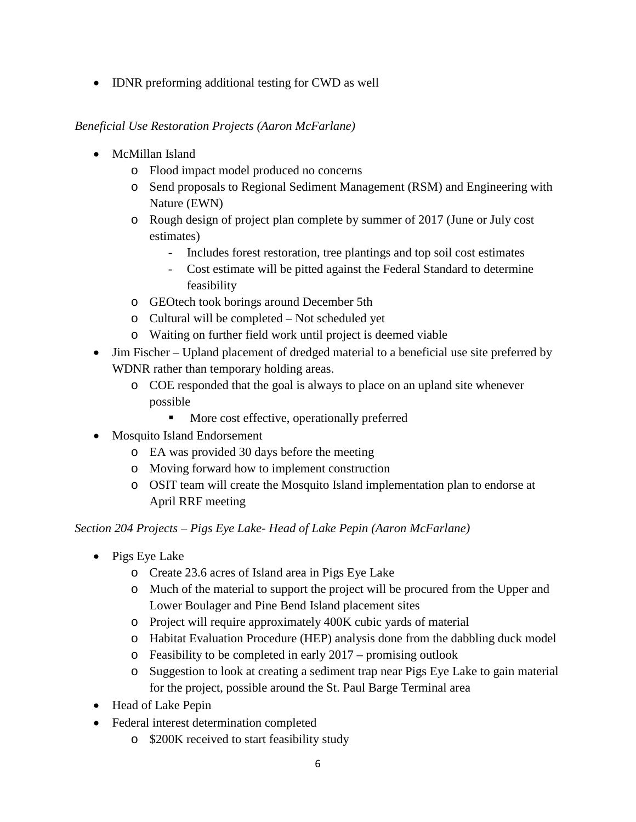• IDNR preforming additional testing for CWD as well

## *Beneficial Use Restoration Projects (Aaron McFarlane)*

- McMillan Island
	- o Flood impact model produced no concerns
	- o Send proposals to Regional Sediment Management (RSM) and Engineering with Nature (EWN)
	- o Rough design of project plan complete by summer of 2017 (June or July cost estimates)
		- Includes forest restoration, tree plantings and top soil cost estimates
		- Cost estimate will be pitted against the Federal Standard to determine feasibility
	- o GEOtech took borings around December 5th
	- o Cultural will be completed Not scheduled yet
	- o Waiting on further field work until project is deemed viable
- Jim Fischer Upland placement of dredged material to a beneficial use site preferred by WDNR rather than temporary holding areas.
	- o COE responded that the goal is always to place on an upland site whenever possible
		- More cost effective, operationally preferred
- Mosquito Island Endorsement
	- o EA was provided 30 days before the meeting
	- o Moving forward how to implement construction
	- o OSIT team will create the Mosquito Island implementation plan to endorse at April RRF meeting

*Section 204 Projects – Pigs Eye Lake- Head of Lake Pepin (Aaron McFarlane)*

- Pigs Eye Lake
	- o Create 23.6 acres of Island area in Pigs Eye Lake
	- o Much of the material to support the project will be procured from the Upper and Lower Boulager and Pine Bend Island placement sites
	- o Project will require approximately 400K cubic yards of material
	- o Habitat Evaluation Procedure (HEP) analysis done from the dabbling duck model
	- o Feasibility to be completed in early 2017 promising outlook
	- o Suggestion to look at creating a sediment trap near Pigs Eye Lake to gain material for the project, possible around the St. Paul Barge Terminal area
- Head of Lake Pepin
- Federal interest determination completed
	- o \$200K received to start feasibility study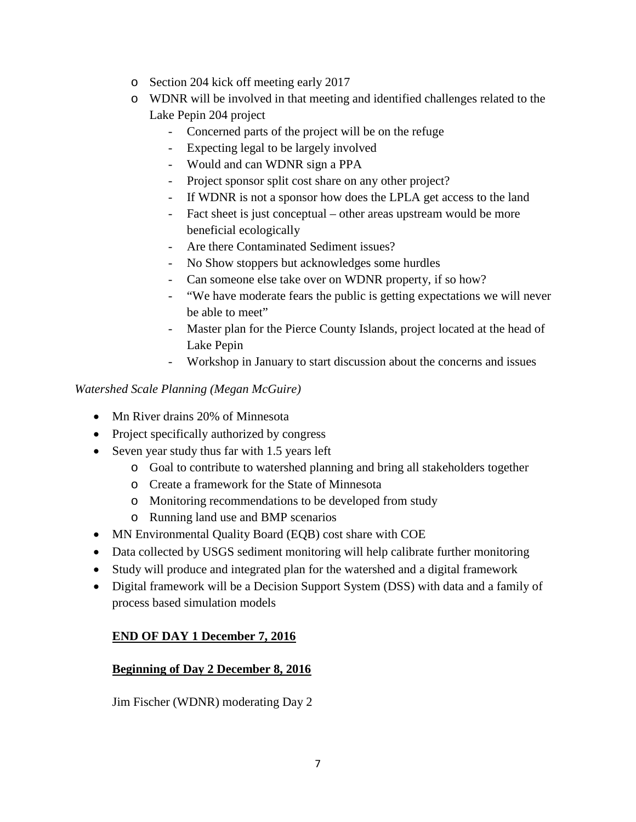- o Section 204 kick off meeting early 2017
- o WDNR will be involved in that meeting and identified challenges related to the Lake Pepin 204 project
	- Concerned parts of the project will be on the refuge
	- Expecting legal to be largely involved
	- Would and can WDNR sign a PPA
	- Project sponsor split cost share on any other project?
	- If WDNR is not a sponsor how does the LPLA get access to the land
	- Fact sheet is just conceptual other areas upstream would be more beneficial ecologically
	- Are there Contaminated Sediment issues?
	- No Show stoppers but acknowledges some hurdles
	- Can someone else take over on WDNR property, if so how?
	- "We have moderate fears the public is getting expectations we will never be able to meet"
	- Master plan for the Pierce County Islands, project located at the head of Lake Pepin
	- Workshop in January to start discussion about the concerns and issues

## *Watershed Scale Planning (Megan McGuire)*

- Mn River drains 20% of Minnesota
- Project specifically authorized by congress
- Seven year study thus far with 1.5 years left
	- o Goal to contribute to watershed planning and bring all stakeholders together
	- o Create a framework for the State of Minnesota
	- o Monitoring recommendations to be developed from study
	- o Running land use and BMP scenarios
- MN Environmental Quality Board (EQB) cost share with COE
- Data collected by USGS sediment monitoring will help calibrate further monitoring
- Study will produce and integrated plan for the watershed and a digital framework
- Digital framework will be a Decision Support System (DSS) with data and a family of process based simulation models

# **END OF DAY 1 December 7, 2016**

## **Beginning of Day 2 December 8, 2016**

Jim Fischer (WDNR) moderating Day 2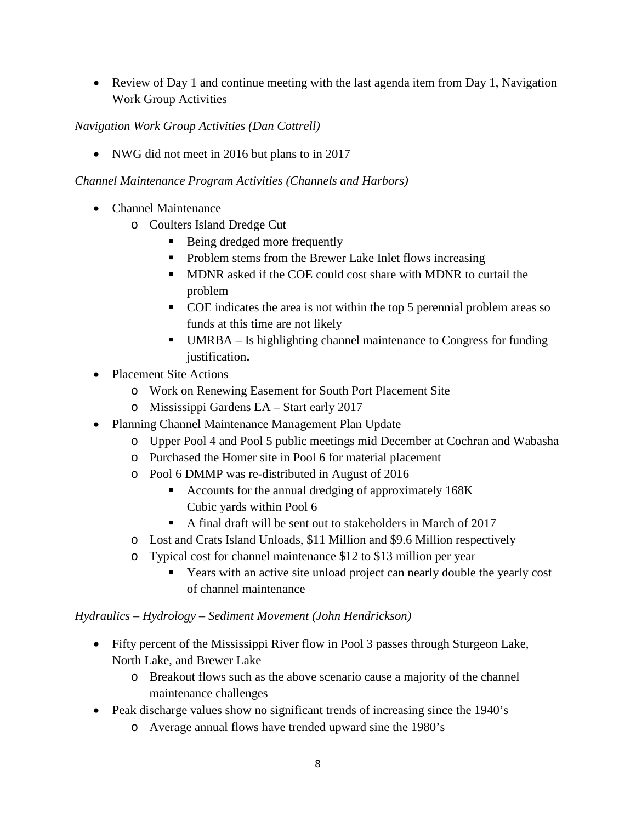• Review of Day 1 and continue meeting with the last agenda item from Day 1, Navigation Work Group Activities

# *Navigation Work Group Activities (Dan Cottrell)*

• NWG did not meet in 2016 but plans to in 2017

## *Channel Maintenance Program Activities (Channels and Harbors)*

- Channel Maintenance
	- o Coulters Island Dredge Cut
		- Being dredged more frequently
		- Problem stems from the Brewer Lake Inlet flows increasing
		- **MDNR** asked if the COE could cost share with MDNR to curtail the problem
		- COE indicates the area is not within the top 5 perennial problem areas so funds at this time are not likely
		- UMRBA Is highlighting channel maintenance to Congress for funding justification**.**
- Placement Site Actions
	- o Work on Renewing Easement for South Port Placement Site
	- o Mississippi Gardens EA Start early 2017
- Planning Channel Maintenance Management Plan Update
	- o Upper Pool 4 and Pool 5 public meetings mid December at Cochran and Wabasha
	- o Purchased the Homer site in Pool 6 for material placement
	- o Pool 6 DMMP was re-distributed in August of 2016
		- Accounts for the annual dredging of approximately 168K Cubic yards within Pool 6
		- A final draft will be sent out to stakeholders in March of 2017
	- o Lost and Crats Island Unloads, \$11 Million and \$9.6 Million respectively
	- o Typical cost for channel maintenance \$12 to \$13 million per year
		- Years with an active site unload project can nearly double the yearly cost of channel maintenance

## *Hydraulics – Hydrology – Sediment Movement (John Hendrickson)*

- Fifty percent of the Mississippi River flow in Pool 3 passes through Sturgeon Lake, North Lake, and Brewer Lake
	- o Breakout flows such as the above scenario cause a majority of the channel maintenance challenges
- Peak discharge values show no significant trends of increasing since the 1940's
	- o Average annual flows have trended upward sine the 1980's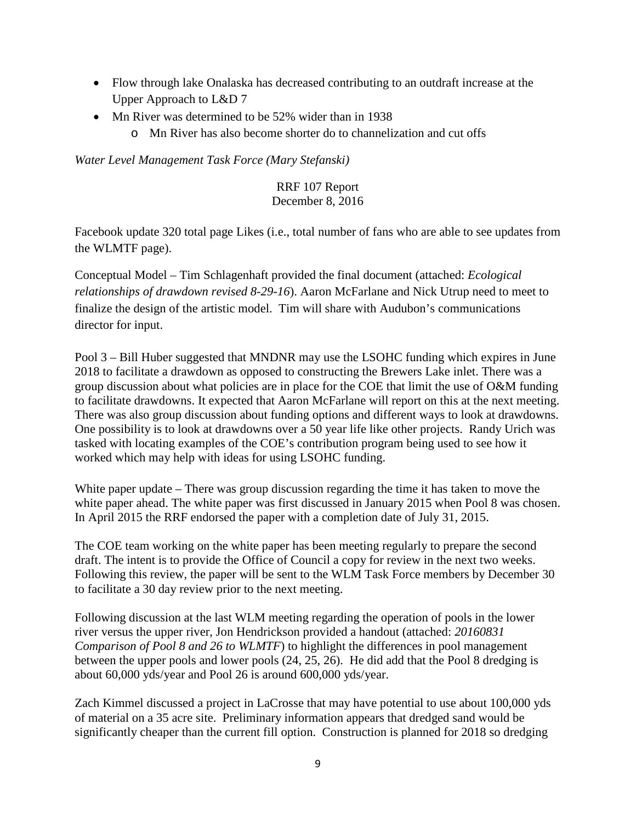- Flow through lake Onalaska has decreased contributing to an outdraft increase at the Upper Approach to L&D 7
- Mn River was determined to be 52% wider than in 1938
	- o Mn River has also become shorter do to channelization and cut offs

*Water Level Management Task Force (Mary Stefanski)*

#### RRF 107 Report December 8, 2016

Facebook update 320 total page Likes (i.e., total number of fans who are able to see updates from the WLMTF page).

Conceptual Model – Tim Schlagenhaft provided the final document (attached: *Ecological relationships of drawdown revised 8-29-16*). Aaron McFarlane and Nick Utrup need to meet to finalize the design of the artistic model. Tim will share with Audubon's communications director for input.

Pool 3 – Bill Huber suggested that MNDNR may use the LSOHC funding which expires in June 2018 to facilitate a drawdown as opposed to constructing the Brewers Lake inlet. There was a group discussion about what policies are in place for the COE that limit the use of O&M funding to facilitate drawdowns. It expected that Aaron McFarlane will report on this at the next meeting. There was also group discussion about funding options and different ways to look at drawdowns. One possibility is to look at drawdowns over a 50 year life like other projects. Randy Urich was tasked with locating examples of the COE's contribution program being used to see how it worked which may help with ideas for using LSOHC funding.

White paper update – There was group discussion regarding the time it has taken to move the white paper ahead. The white paper was first discussed in January 2015 when Pool 8 was chosen. In April 2015 the RRF endorsed the paper with a completion date of July 31, 2015.

The COE team working on the white paper has been meeting regularly to prepare the second draft. The intent is to provide the Office of Council a copy for review in the next two weeks. Following this review, the paper will be sent to the WLM Task Force members by December 30 to facilitate a 30 day review prior to the next meeting.

Following discussion at the last WLM meeting regarding the operation of pools in the lower river versus the upper river, Jon Hendrickson provided a handout (attached: *20160831 Comparison of Pool 8 and 26 to WLMTF*) to highlight the differences in pool management between the upper pools and lower pools (24, 25, 26). He did add that the Pool 8 dredging is about 60,000 yds/year and Pool 26 is around 600,000 yds/year.

Zach Kimmel discussed a project in LaCrosse that may have potential to use about 100,000 yds of material on a 35 acre site. Preliminary information appears that dredged sand would be significantly cheaper than the current fill option. Construction is planned for 2018 so dredging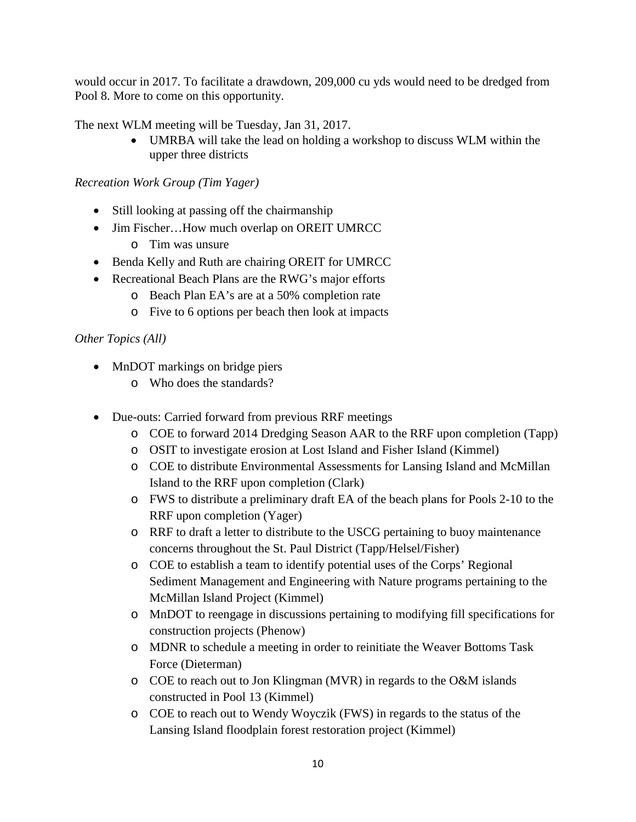would occur in 2017. To facilitate a drawdown, 209,000 cu yds would need to be dredged from Pool 8. More to come on this opportunity.

The next WLM meeting will be Tuesday, Jan 31, 2017.

• UMRBA will take the lead on holding a workshop to discuss WLM within the upper three districts

## *Recreation Work Group (Tim Yager)*

- Still looking at passing off the chairmanship
- Jim Fischer...How much overlap on OREIT UMRCC
	- o Tim was unsure
- Benda Kelly and Ruth are chairing OREIT for UMRCC
- Recreational Beach Plans are the RWG's major efforts
	- o Beach Plan EA's are at a 50% completion rate
	- o Five to 6 options per beach then look at impacts

## *Other Topics (All)*

- MnDOT markings on bridge piers
	- o Who does the standards?
- Due-outs: Carried forward from previous RRF meetings
	- o COE to forward 2014 Dredging Season AAR to the RRF upon completion (Tapp)
	- o OSIT to investigate erosion at Lost Island and Fisher Island (Kimmel)
	- o COE to distribute Environmental Assessments for Lansing Island and McMillan Island to the RRF upon completion (Clark)
	- o FWS to distribute a preliminary draft EA of the beach plans for Pools 2-10 to the RRF upon completion (Yager)
	- o RRF to draft a letter to distribute to the USCG pertaining to buoy maintenance concerns throughout the St. Paul District (Tapp/Helsel/Fisher)
	- o COE to establish a team to identify potential uses of the Corps' Regional Sediment Management and Engineering with Nature programs pertaining to the McMillan Island Project (Kimmel)
	- o MnDOT to reengage in discussions pertaining to modifying fill specifications for construction projects (Phenow)
	- o MDNR to schedule a meeting in order to reinitiate the Weaver Bottoms Task Force (Dieterman)
	- o COE to reach out to Jon Klingman (MVR) in regards to the O&M islands constructed in Pool 13 (Kimmel)
	- o COE to reach out to Wendy Woyczik (FWS) in regards to the status of the Lansing Island floodplain forest restoration project (Kimmel)